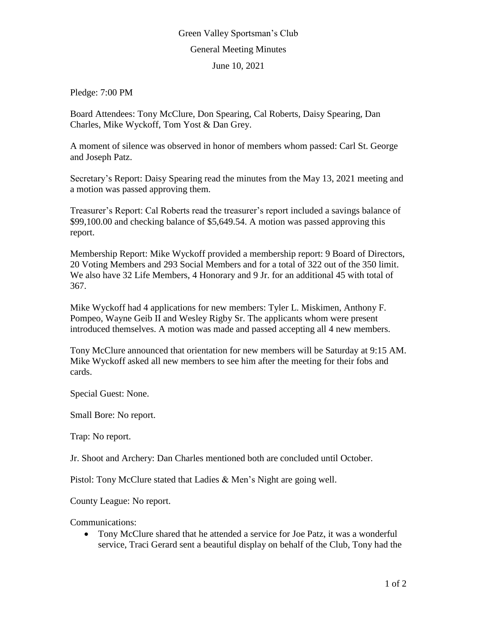## Green Valley Sportsman's Club General Meeting Minutes

June 10, 2021

Pledge: 7:00 PM

Board Attendees: Tony McClure, Don Spearing, Cal Roberts, Daisy Spearing, Dan Charles, Mike Wyckoff, Tom Yost & Dan Grey.

A moment of silence was observed in honor of members whom passed: Carl St. George and Joseph Patz.

Secretary's Report: Daisy Spearing read the minutes from the May 13, 2021 meeting and a motion was passed approving them.

Treasurer's Report: Cal Roberts read the treasurer's report included a savings balance of \$99,100.00 and checking balance of \$5,649.54. A motion was passed approving this report.

Membership Report: Mike Wyckoff provided a membership report: 9 Board of Directors, 20 Voting Members and 293 Social Members and for a total of 322 out of the 350 limit. We also have 32 Life Members, 4 Honorary and 9 Jr. for an additional 45 with total of 367.

Mike Wyckoff had 4 applications for new members: Tyler L. Miskimen, Anthony F. Pompeo, Wayne Geib II and Wesley Rigby Sr. The applicants whom were present introduced themselves. A motion was made and passed accepting all 4 new members.

Tony McClure announced that orientation for new members will be Saturday at 9:15 AM. Mike Wyckoff asked all new members to see him after the meeting for their fobs and cards.

Special Guest: None.

Small Bore: No report.

Trap: No report.

Jr. Shoot and Archery: Dan Charles mentioned both are concluded until October.

Pistol: Tony McClure stated that Ladies & Men's Night are going well.

County League: No report.

Communications:

 Tony McClure shared that he attended a service for Joe Patz, it was a wonderful service, Traci Gerard sent a beautiful display on behalf of the Club, Tony had the